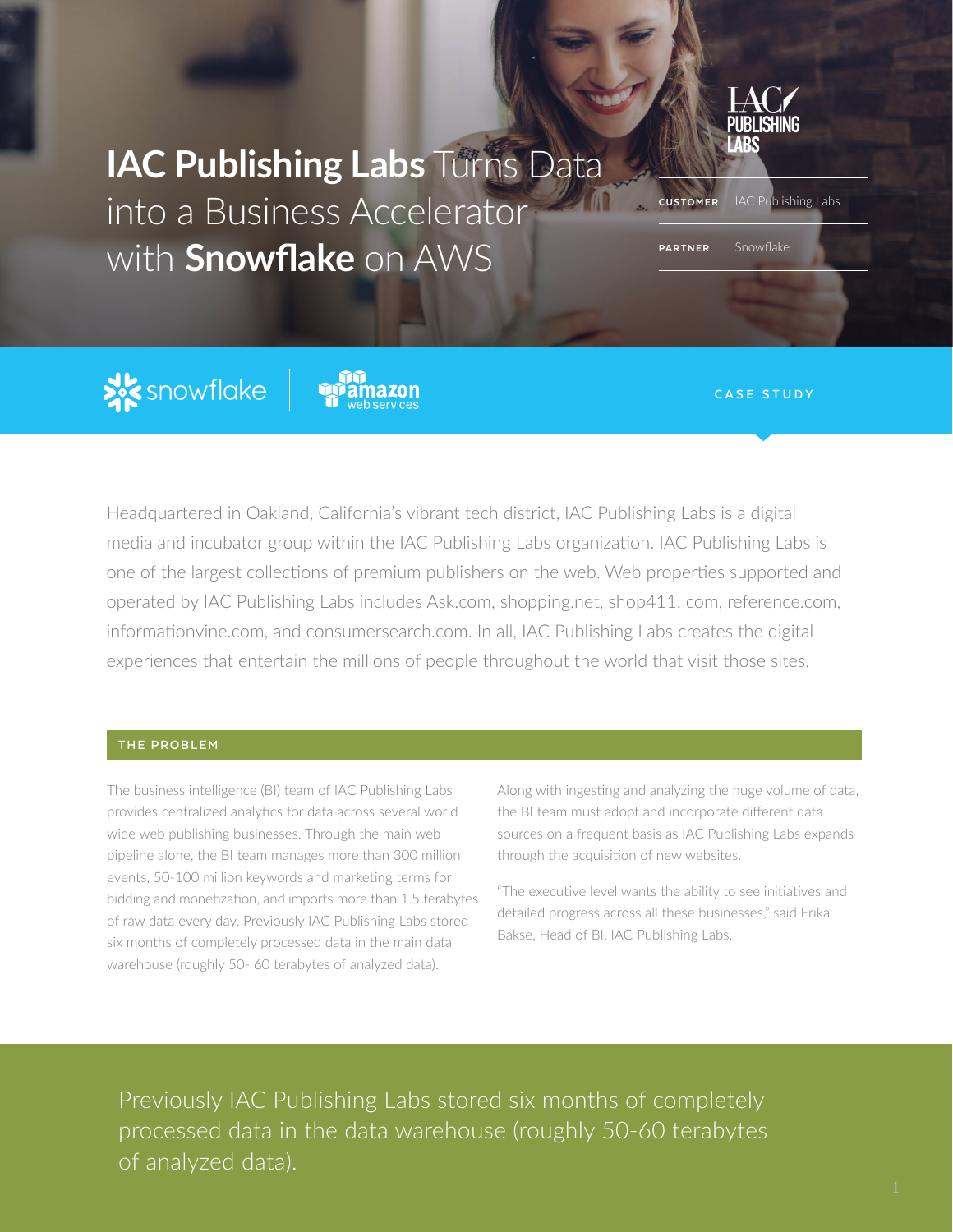

**IAC Publishing Labs** Turns Data into a Business Accelerator with **Snowflake** on AWS

**CUSTOMER** IAC Publishing Labs

PARTNER Snowflake

**XX** snowflake



**CASE STUDY**

Headquartered in Oakland, California's vibrant tech district, IAC Publishing Labs is a digital media and incubator group within the IAC Publishing Labs organization. IAC Publishing Labs is one of the largest collections of premium publishers on the web. Web properties supported and operated by IAC Publishing Labs includes Ask.com, shopping.net, shop411. com, reference.com, informationvine.com, and consumersearch.com. In all, IAC Publishing Labs creates the digital experiences that entertain the millions of people throughout the world that visit those sites.

### **THE PROBLEM**

The business intelligence (BI) team of IAC Publishing Labs provides centralized analytics for data across several world wide web publishing businesses. Through the main web pipeline alone, the BI team manages more than 300 million events, 50-100 million keywords and marketing terms for bidding and monetization, and imports more than 1.5 terabytes of raw data every day. Previously IAC Publishing Labs stored six months of completely processed data in the main data warehouse (roughly 50- 60 terabytes of analyzed data).

Along with ingesting and analyzing the huge volume of data, the BI team must adopt and incorporate different data sources on a frequent basis as IAC Publishing Labs expands through the acquisition of new websites.

"The executive level wants the ability to see initiatives and detailed progress across all these businesses," said Erika Bakse, Head of BI, IAC Publishing Labs.

Previously IAC Publishing Labs stored six months of completely processed data in the data warehouse (roughly 50-60 terabytes of analyzed data).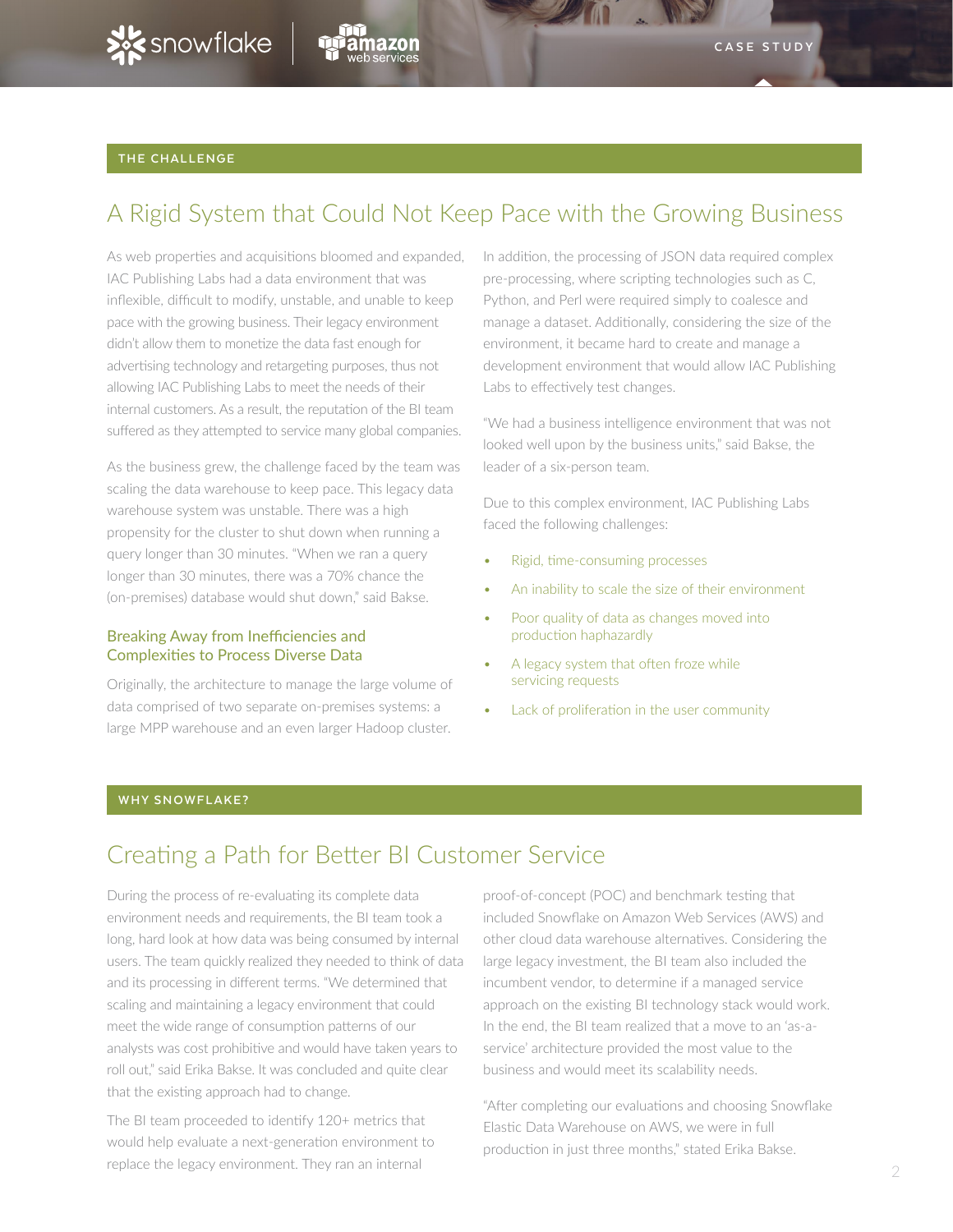

### **THE CHALLENGE**

# A Rigid System that Could Not Keep Pace with the Growing Business

As web properties and acquisitions bloomed and expanded, IAC Publishing Labs had a data environment that was inflexible, difficult to modify, unstable, and unable to keep pace with the growing business. Their legacy environment didn't allow them to monetize the data fast enough for advertising technology and retargeting purposes, thus not allowing IAC Publishing Labs to meet the needs of their internal customers. As a result, the reputation of the BI team suffered as they attempted to service many global companies.

As the business grew, the challenge faced by the team was scaling the data warehouse to keep pace. This legacy data warehouse system was unstable. There was a high propensity for the cluster to shut down when running a query longer than 30 minutes. "When we ran a query longer than 30 minutes, there was a 70% chance the (on-premises) database would shut down," said Bakse.

#### Breaking Away from Inefficiencies and Complexities to Process Diverse Data

Originally, the architecture to manage the large volume of data comprised of two separate on-premises systems: a large MPP warehouse and an even larger Hadoop cluster.

In addition, the processing of JSON data required complex pre-processing, where scripting technologies such as C, Python, and Perl were required simply to coalesce and manage a dataset. Additionally, considering the size of the environment, it became hard to create and manage a development environment that would allow IAC Publishing Labs to effectively test changes.

"We had a business intelligence environment that was not looked well upon by the business units," said Bakse, the leader of a six-person team.

Due to this complex environment, IAC Publishing Labs faced the following challenges:

- Rigid, time-consuming processes
- An inability to scale the size of their environment
- Poor quality of data as changes moved into production haphazardly
- A legacy system that often froze while servicing requests
- Lack of proliferation in the user community

#### **WHY SNOWFLAKE?**

## Creating a Path for Better BI Customer Service

During the process of re-evaluating its complete data environment needs and requirements, the BI team took a long, hard look at how data was being consumed by internal users. The team quickly realized they needed to think of data and its processing in different terms. "We determined that scaling and maintaining a legacy environment that could meet the wide range of consumption patterns of our analysts was cost prohibitive and would have taken years to roll out," said Erika Bakse. It was concluded and quite clear that the existing approach had to change.

The BI team proceeded to identify 120+ metrics that would help evaluate a next-generation environment to replace the legacy environment. They ran an internal

proof-of-concept (POC) and benchmark testing that included Snowflake on Amazon Web Services (AWS) and other cloud data warehouse alternatives. Considering the large legacy investment, the BI team also included the incumbent vendor, to determine if a managed service approach on the existing BI technology stack would work. In the end, the BI team realized that a move to an 'as-aservice' architecture provided the most value to the business and would meet its scalability needs.

"After completing our evaluations and choosing Snowflake Elastic Data Warehouse on AWS, we were in full production in just three months," stated Erika Bakse.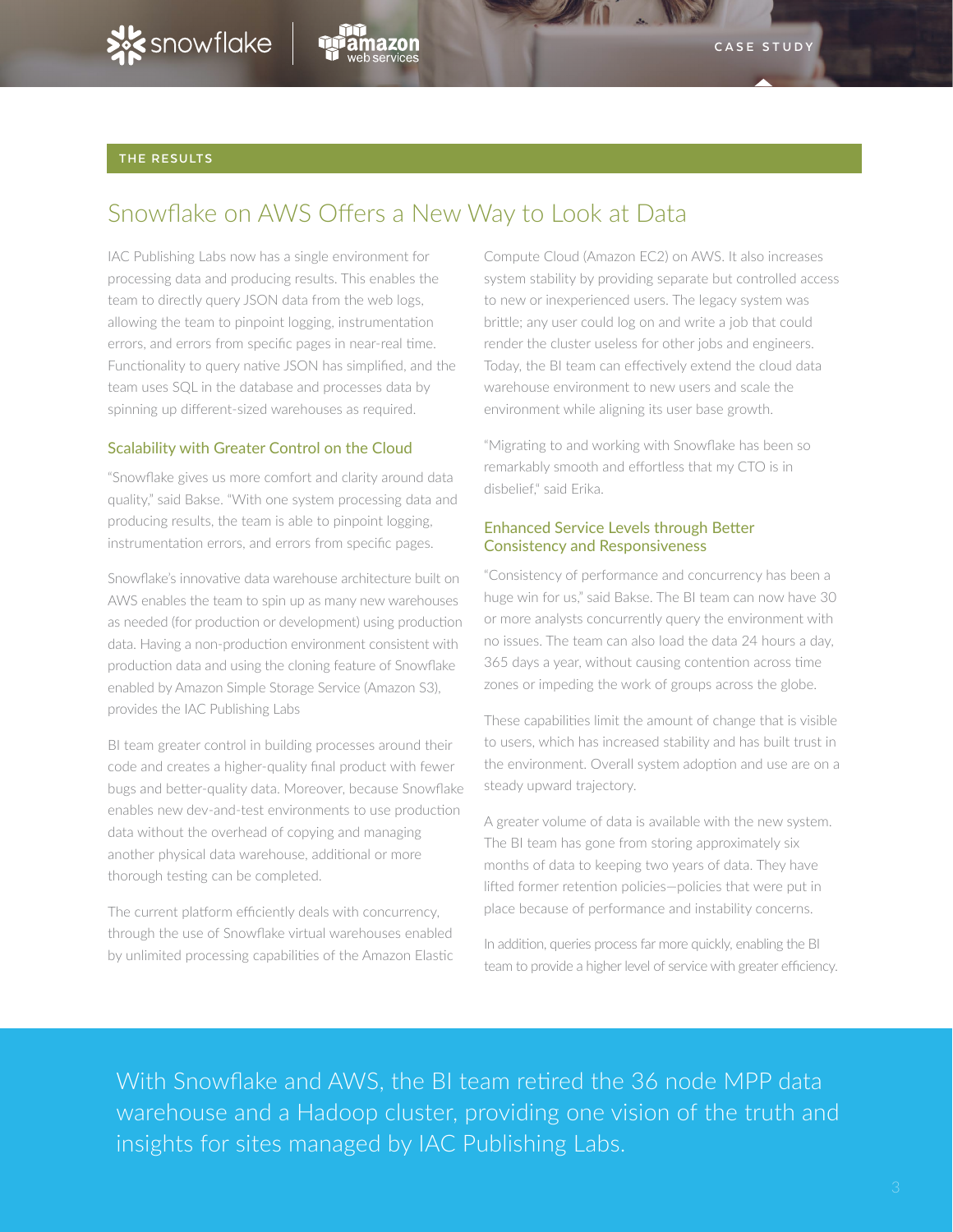

### **THE RESULTS**

# Snowflake on AWS Offers a New Way to Look at Data

IAC Publishing Labs now has a single environment for processing data and producing results. This enables the team to directly query JSON data from the web logs, allowing the team to pinpoint logging, instrumentation errors, and errors from specific pages in near-real time. Functionality to query native JSON has simplified, and the team uses SQL in the database and processes data by spinning up different-sized warehouses as required.

### Scalability with Greater Control on the Cloud

"Snowflake gives us more comfort and clarity around data quality," said Bakse. "With one system processing data and producing results, the team is able to pinpoint logging, instrumentation errors, and errors from specific pages.

Snowflake's innovative data warehouse architecture built on AWS enables the team to spin up as many new warehouses as needed (for production or development) using production data. Having a non-production environment consistent with production data and using the cloning feature of Snowflake enabled by Amazon Simple Storage Service (Amazon S3), provides the IAC Publishing Labs

BI team greater control in building processes around their code and creates a higher-quality final product with fewer bugs and better-quality data. Moreover, because Snowflake enables new dev-and-test environments to use production data without the overhead of copying and managing another physical data warehouse, additional or more thorough testing can be completed.

The current platform efficiently deals with concurrency, through the use of Snowflake virtual warehouses enabled by unlimited processing capabilities of the Amazon Elastic

Compute Cloud (Amazon EC2) on AWS. It also increases system stability by providing separate but controlled access to new or inexperienced users. The legacy system was brittle; any user could log on and write a job that could render the cluster useless for other jobs and engineers. Today, the BI team can effectively extend the cloud data warehouse environment to new users and scale the environment while aligning its user base growth.

"Migrating to and working with Snowflake has been so remarkably smooth and effortless that my CTO is in disbelief," said Erika.

### Enhanced Service Levels through Better Consistency and Responsiveness

"Consistency of performance and concurrency has been a huge win for us," said Bakse. The BI team can now have 30 or more analysts concurrently query the environment with no issues. The team can also load the data 24 hours a day, 365 days a year, without causing contention across time zones or impeding the work of groups across the globe.

These capabilities limit the amount of change that is visible to users, which has increased stability and has built trust in the environment. Overall system adoption and use are on a steady upward trajectory.

A greater volume of data is available with the new system. The BI team has gone from storing approximately six months of data to keeping two years of data. They have lifted former retention policies—policies that were put in place because of performance and instability concerns.

In addition, queries process far more quickly, enabling the BI team to provide a higher level of service with greater efficiency.

With Snowflake and AWS, the BI team retired the 36 node MPP data warehouse and a Hadoop cluster, providing one vision of the truth and insights for sites managed by IAC Publishing Labs.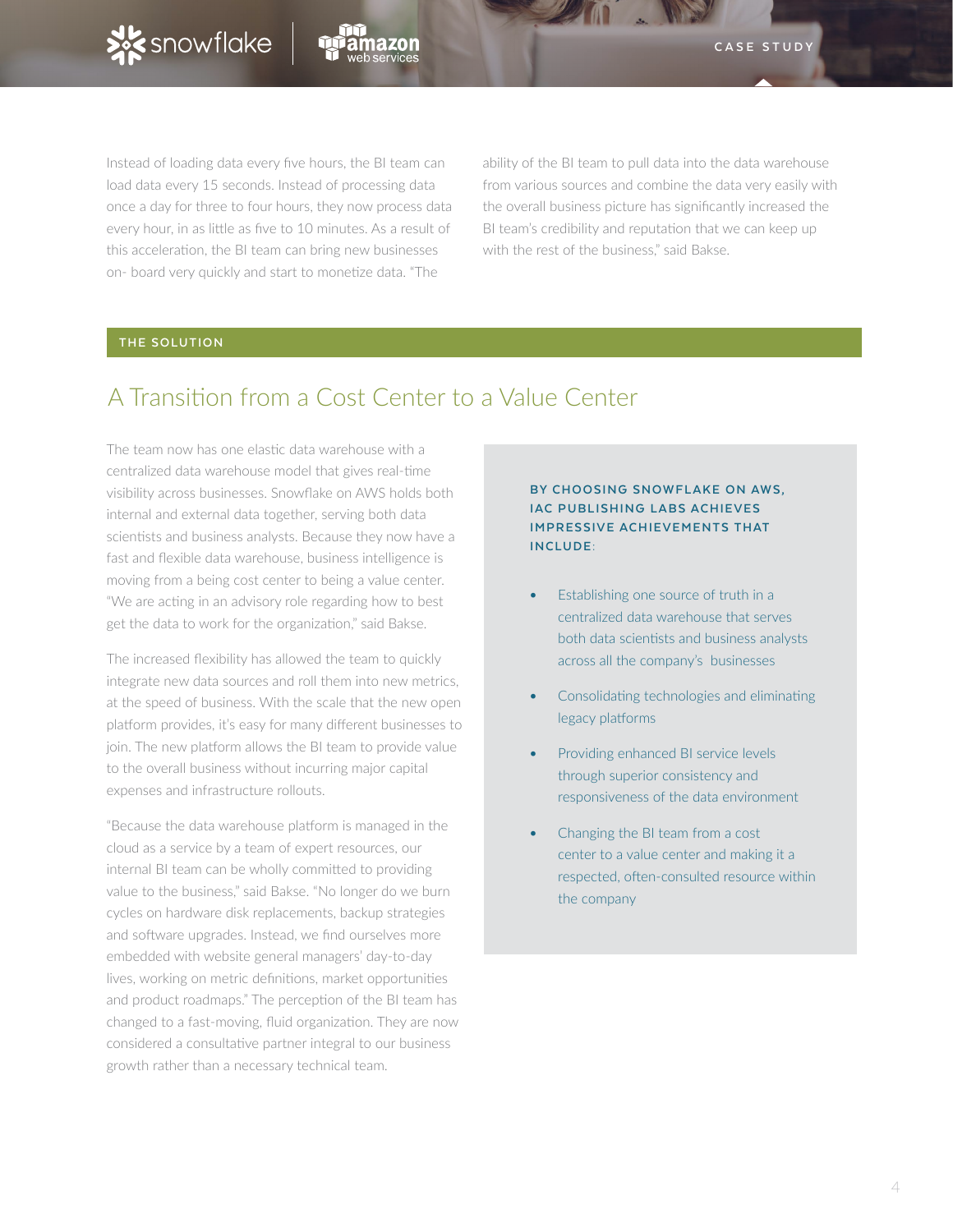

Instead of loading data every five hours, the BI team can load data every 15 seconds. Instead of processing data once a day for three to four hours, they now process data every hour, in as little as five to 10 minutes. As a result of this acceleration, the BI team can bring new businesses on- board very quickly and start to monetize data. "The

ability of the BI team to pull data into the data warehouse from various sources and combine the data very easily with the overall business picture has significantly increased the BI team's credibility and reputation that we can keep up with the rest of the business," said Bakse.

## **THE SOLUTION**

## A Transition from a Cost Center to a Value Center

The team now has one elastic data warehouse with a centralized data warehouse model that gives real-time visibility across businesses. Snowflake on AWS holds both internal and external data together, serving both data scientists and business analysts. Because they now have a fast and flexible data warehouse, business intelligence is moving from a being cost center to being a value center. "We are acting in an advisory role regarding how to best get the data to work for the organization," said Bakse.

The increased flexibility has allowed the team to quickly integrate new data sources and roll them into new metrics, at the speed of business. With the scale that the new open platform provides, it's easy for many different businesses to join. The new platform allows the BI team to provide value to the overall business without incurring major capital expenses and infrastructure rollouts.

"Because the data warehouse platform is managed in the cloud as a service by a team of expert resources, our internal BI team can be wholly committed to providing value to the business," said Bakse. "No longer do we burn cycles on hardware disk replacements, backup strategies and software upgrades. Instead, we find ourselves more embedded with website general managers' day-to-day lives, working on metric definitions, market opportunities and product roadmaps." The perception of the BI team has changed to a fast-moving, fluid organization. They are now considered a consultative partner integral to our business growth rather than a necessary technical team.

### **BY CHOOSING SNOWFLAKE ON AWS, IAC PUBLISHING LABS ACHIEVES IMPRESSIVE ACHIEVEMENTS THAT INCLUDE:**

- Establishing one source of truth in a centralized data warehouse that serves both data scientists and business analysts across all the company's businesses
- Consolidating technologies and eliminating legacy platforms
- Providing enhanced BI service levels through superior consistency and responsiveness of the data environment
- Changing the BI team from a cost center to a value center and making it a respected, often-consulted resource within the company